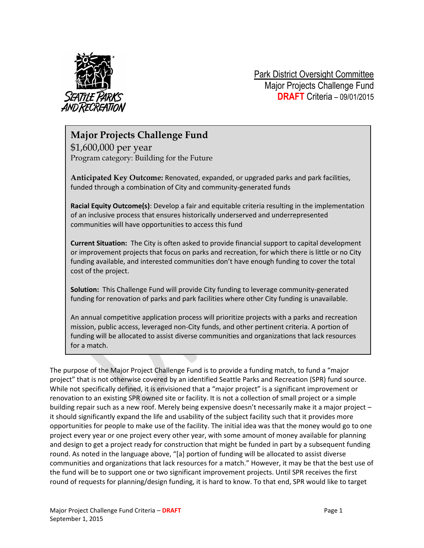

Park District Oversight Committee Major Projects Challenge Fund **DRAFT** Criteria – 09/01/2015

## **Major Projects Challenge Fund**

\$1,600,000 per year Program category: Building for the Future

**Anticipated Key Outcome:** Renovated, expanded, or upgraded parks and park facilities, funded through a combination of City and community-generated funds

**Racial Equity Outcome(s)**: Develop a fair and equitable criteria resulting in the implementation of an inclusive process that ensures historically underserved and underrepresented communities will have opportunities to access this fund

**Current Situation:** The City is often asked to provide financial support to capital development or improvement projects that focus on parks and recreation, for which there is little or no City funding available, and interested communities don't have enough funding to cover the total cost of the project.

**Solution:** This Challenge Fund will provide City funding to leverage community-generated funding for renovation of parks and park facilities where other City funding is unavailable.

An annual competitive application process will prioritize projects with a parks and recreation mission, public access, leveraged non-City funds, and other pertinent criteria. A portion of funding will be allocated to assist diverse communities and organizations that lack resources for a match.

The purpose of the Major Project Challenge Fund is to provide a funding match, to fund a "major project" that is not otherwise covered by an identified Seattle Parks and Recreation (SPR) fund source. While not specifically defined, it is envisioned that a "major project" is a significant improvement or renovation to an existing SPR owned site or facility. It is not a collection of small project or a simple building repair such as a new roof. Merely being expensive doesn't necessarily make it a major project – it should significantly expand the life and usability of the subject facility such that it provides more opportunities for people to make use of the facility. The initial idea was that the money would go to one project every year or one project every other year, with some amount of money available for planning and design to get a project ready for construction that might be funded in part by a subsequent funding round. As noted in the language above, "[a] portion of funding will be allocated to assist diverse communities and organizations that lack resources for a match." However, it may be that the best use of the fund will be to support one or two significant improvement projects. Until SPR receives the first round of requests for planning/design funding, it is hard to know. To that end, SPR would like to target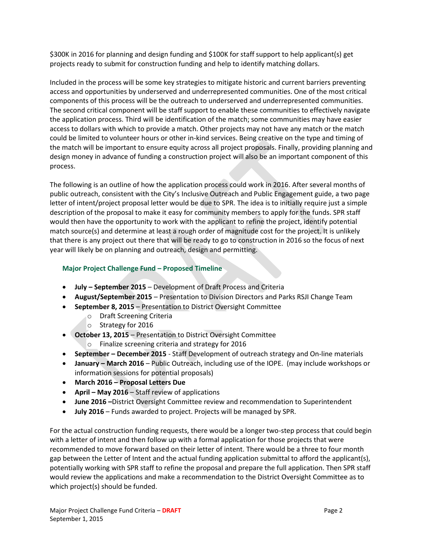\$300K in 2016 for planning and design funding and \$100K for staff support to help applicant(s) get projects ready to submit for construction funding and help to identify matching dollars.

Included in the process will be some key strategies to mitigate historic and current barriers preventing access and opportunities by underserved and underrepresented communities. One of the most critical components of this process will be the outreach to underserved and underrepresented communities. The second critical component will be staff support to enable these communities to effectively navigate the application process. Third will be identification of the match; some communities may have easier access to dollars with which to provide a match. Other projects may not have any match or the match could be limited to volunteer hours or other in-kind services. Being creative on the type and timing of the match will be important to ensure equity across all project proposals. Finally, providing planning and design money in advance of funding a construction project will also be an important component of this process.

The following is an outline of how the application process could work in 2016. After several months of public outreach, consistent with the City's Inclusive Outreach and Public Engagement guide, a two page letter of intent/project proposal letter would be due to SPR. The idea is to initially require just a simple description of the proposal to make it easy for community members to apply for the funds. SPR staff would then have the opportunity to work with the applicant to refine the project, identify potential match source(s) and determine at least a rough order of magnitude cost for the project. It is unlikely that there is any project out there that will be ready to go to construction in 2016 so the focus of next year will likely be on planning and outreach, design and permitting.

## **Major Project Challenge Fund – Proposed Timeline**

- **July – September 2015** Development of Draft Process and Criteria
- **August/September 2015**  Presentation to Division Directors and Parks RSJI Change Team
- **September 8, 2015** Presentation to District Oversight Committee
	- o Draft Screening Criteria
		- o Strategy for 2016
- **October 13, 2015** Presentation to District Oversight Committee
	- o Finalize screening criteria and strategy for 2016
- **September – December 2015** Staff Development of outreach strategy and On-line materials
- **January – March 2016** Public Outreach, including use of the IOPE. (may include workshops or information sessions for potential proposals)
- **March 2016 – Proposal Letters Due**
- **April – May 2016** Staff review of applications
- **June 2016 –**District Oversight Committee review and recommendation to Superintendent
- **July 2016** Funds awarded to project. Projects will be managed by SPR.

For the actual construction funding requests, there would be a longer two-step process that could begin with a letter of intent and then follow up with a formal application for those projects that were recommended to move forward based on their letter of intent. There would be a three to four month gap between the Letter of Intent and the actual funding application submittal to afford the applicant(s), potentially working with SPR staff to refine the proposal and prepare the full application. Then SPR staff would review the applications and make a recommendation to the District Oversight Committee as to which project(s) should be funded.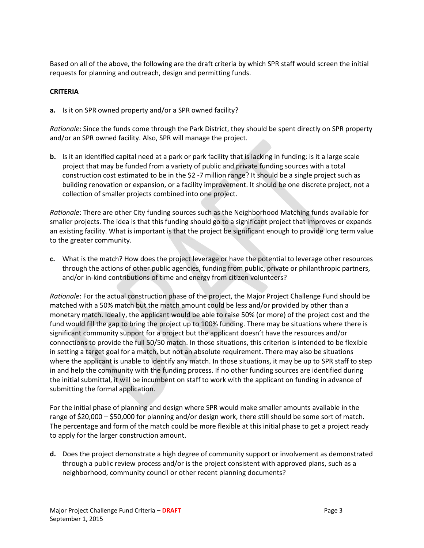Based on all of the above, the following are the draft criteria by which SPR staff would screen the initial requests for planning and outreach, design and permitting funds.

## **CRITERIA**

**a.** Is it on SPR owned property and/or a SPR owned facility?

*Rationale*: Since the funds come through the Park District, they should be spent directly on SPR property and/or an SPR owned facility. Also, SPR will manage the project.

**b.** Is it an identified capital need at a park or park facility that is lacking in funding; is it a large scale project that may be funded from a variety of public and private funding sources with a total construction cost estimated to be in the \$2 -7 million range? It should be a single project such as building renovation or expansion, or a facility improvement. It should be one discrete project, not a collection of smaller projects combined into one project.

*Rationale*: There are other City funding sources such as the Neighborhood Matching funds available for smaller projects. The idea is that this funding should go to a significant project that improves or expands an existing facility. What is important is that the project be significant enough to provide long term value to the greater community.

**c.** What is the match? How does the project leverage or have the potential to leverage other resources through the actions of other public agencies, funding from public, private or philanthropic partners, and/or in-kind contributions of time and energy from citizen volunteers?

*Rationale*: For the actual construction phase of the project, the Major Project Challenge Fund should be matched with a 50% match but the match amount could be less and/or provided by other than a monetary match. Ideally, the applicant would be able to raise 50% (or more) of the project cost and the fund would fill the gap to bring the project up to 100% funding. There may be situations where there is significant community support for a project but the applicant doesn't have the resources and/or connections to provide the full 50/50 match. In those situations, this criterion is intended to be flexible in setting a target goal for a match, but not an absolute requirement. There may also be situations where the applicant is unable to identify any match. In those situations, it may be up to SPR staff to step in and help the community with the funding process. If no other funding sources are identified during the initial submittal, it will be incumbent on staff to work with the applicant on funding in advance of submitting the formal application.

For the initial phase of planning and design where SPR would make smaller amounts available in the range of \$20,000 – \$50,000 for planning and/or design work, there still should be some sort of match. The percentage and form of the match could be more flexible at this initial phase to get a project ready to apply for the larger construction amount.

**d.** Does the project demonstrate a high degree of community support or involvement as demonstrated through a public review process and/or is the project consistent with approved plans, such as a neighborhood, community council or other recent planning documents?